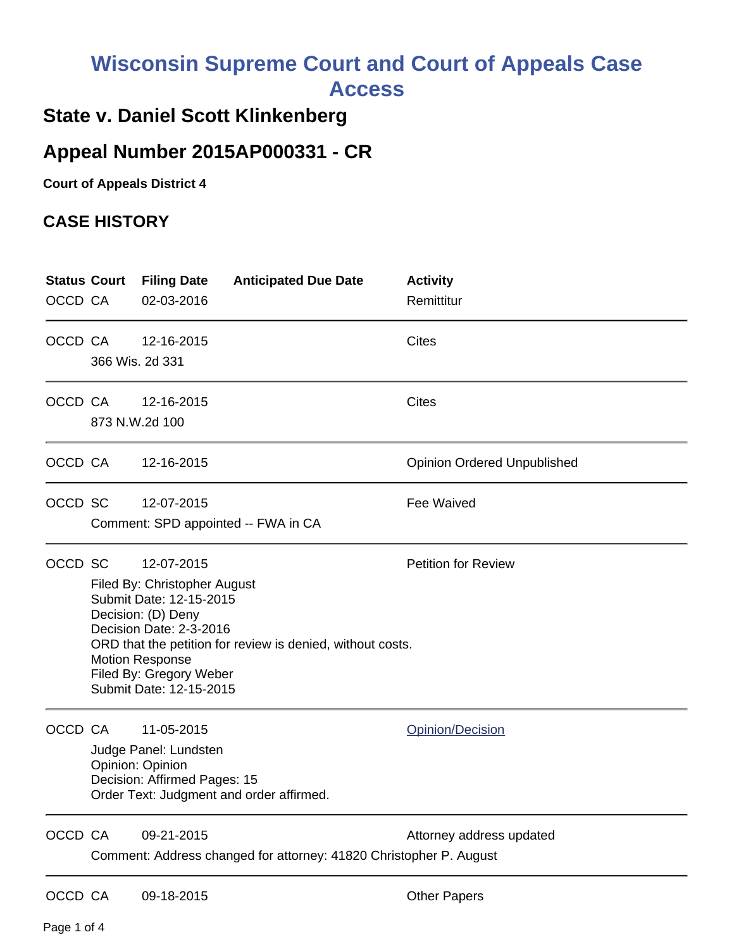## **Wisconsin Supreme Court and Court of Appeals Case Access**

## **State v. Daniel Scott Klinkenberg**

## **Appeal Number 2015AP000331 - CR**

**Court of Appeals District 4**

## **CASE HISTORY**

| OCCD CA | <b>Status Court</b>                                                                                                                                                                                                                                                                                | <b>Filing Date</b><br>02-03-2016                                                        | <b>Anticipated Due Date</b>                                        | <b>Activity</b><br>Remittitur      |
|---------|----------------------------------------------------------------------------------------------------------------------------------------------------------------------------------------------------------------------------------------------------------------------------------------------------|-----------------------------------------------------------------------------------------|--------------------------------------------------------------------|------------------------------------|
| OCCD CA |                                                                                                                                                                                                                                                                                                    | 12-16-2015<br>366 Wis. 2d 331                                                           |                                                                    | <b>Cites</b>                       |
| OCCD CA |                                                                                                                                                                                                                                                                                                    | 12-16-2015<br>873 N.W.2d 100                                                            |                                                                    | <b>Cites</b>                       |
| OCCD CA |                                                                                                                                                                                                                                                                                                    | 12-16-2015                                                                              |                                                                    | <b>Opinion Ordered Unpublished</b> |
| OCCD SC |                                                                                                                                                                                                                                                                                                    | 12-07-2015                                                                              | Comment: SPD appointed -- FWA in CA                                | Fee Waived                         |
| OCCD SC | <b>Petition for Review</b><br>12-07-2015<br>Filed By: Christopher August<br>Submit Date: 12-15-2015<br>Decision: (D) Deny<br>Decision Date: 2-3-2016<br>ORD that the petition for review is denied, without costs.<br><b>Motion Response</b><br>Filed By: Gregory Weber<br>Submit Date: 12-15-2015 |                                                                                         |                                                                    |                                    |
| OCCD CA |                                                                                                                                                                                                                                                                                                    | 11-05-2015<br>Judge Panel: Lundsten<br>Opinion: Opinion<br>Decision: Affirmed Pages: 15 | Order Text: Judgment and order affirmed.                           | Opinion/Decision                   |
| OCCD CA |                                                                                                                                                                                                                                                                                                    | 09-21-2015                                                                              | Comment: Address changed for attorney: 41820 Christopher P. August | Attorney address updated           |
| OCCD CA |                                                                                                                                                                                                                                                                                                    | 09-18-2015                                                                              |                                                                    | <b>Other Papers</b>                |

Page 1 of 4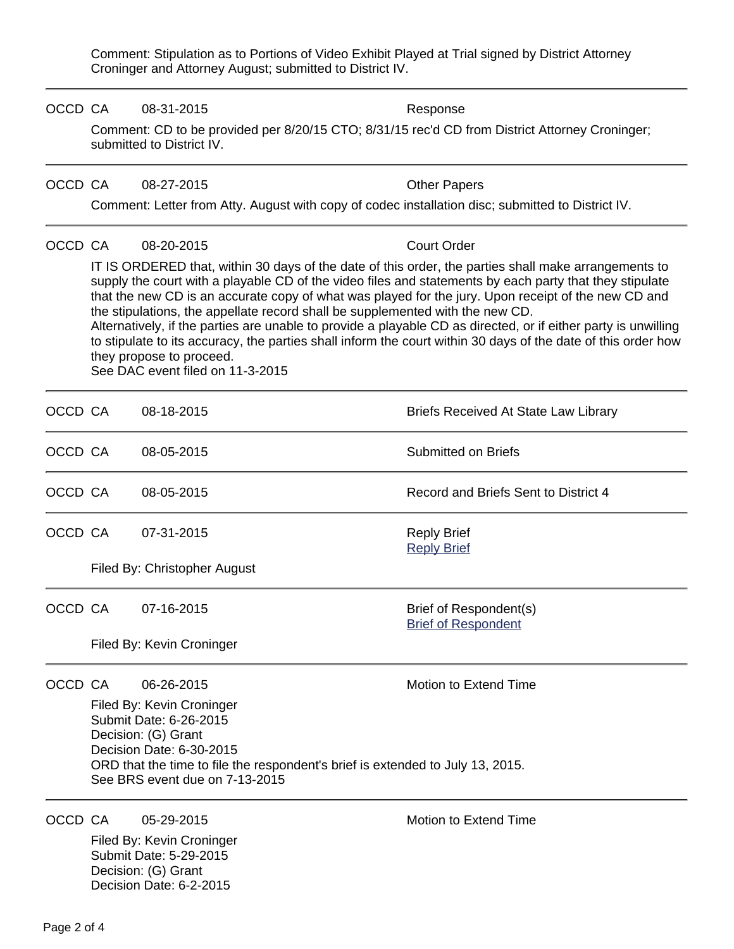Comment: Stipulation as to Portions of Video Exhibit Played at Trial signed by District Attorney Croninger and Attorney August; submitted to District IV.

| OCCD CA |                                                                                                                                                                                                                                                                                                                                                                                                                                                                                                                                                                                                                                                                                                            | 08-31-2015                                                                                                                  | Response                                             |  |  |  |  |
|---------|------------------------------------------------------------------------------------------------------------------------------------------------------------------------------------------------------------------------------------------------------------------------------------------------------------------------------------------------------------------------------------------------------------------------------------------------------------------------------------------------------------------------------------------------------------------------------------------------------------------------------------------------------------------------------------------------------------|-----------------------------------------------------------------------------------------------------------------------------|------------------------------------------------------|--|--|--|--|
|         |                                                                                                                                                                                                                                                                                                                                                                                                                                                                                                                                                                                                                                                                                                            | Comment: CD to be provided per 8/20/15 CTO; 8/31/15 rec'd CD from District Attorney Croninger;<br>submitted to District IV. |                                                      |  |  |  |  |
| OCCD CA |                                                                                                                                                                                                                                                                                                                                                                                                                                                                                                                                                                                                                                                                                                            | 08-27-2015                                                                                                                  | <b>Other Papers</b>                                  |  |  |  |  |
|         |                                                                                                                                                                                                                                                                                                                                                                                                                                                                                                                                                                                                                                                                                                            | Comment: Letter from Atty. August with copy of codec installation disc; submitted to District IV.                           |                                                      |  |  |  |  |
| OCCD CA |                                                                                                                                                                                                                                                                                                                                                                                                                                                                                                                                                                                                                                                                                                            | 08-20-2015                                                                                                                  | <b>Court Order</b>                                   |  |  |  |  |
|         | IT IS ORDERED that, within 30 days of the date of this order, the parties shall make arrangements to<br>supply the court with a playable CD of the video files and statements by each party that they stipulate<br>that the new CD is an accurate copy of what was played for the jury. Upon receipt of the new CD and<br>the stipulations, the appellate record shall be supplemented with the new CD.<br>Alternatively, if the parties are unable to provide a playable CD as directed, or if either party is unwilling<br>to stipulate to its accuracy, the parties shall inform the court within 30 days of the date of this order how<br>they propose to proceed.<br>See DAC event filed on 11-3-2015 |                                                                                                                             |                                                      |  |  |  |  |
| OCCD CA |                                                                                                                                                                                                                                                                                                                                                                                                                                                                                                                                                                                                                                                                                                            | 08-18-2015                                                                                                                  | <b>Briefs Received At State Law Library</b>          |  |  |  |  |
| OCCD CA |                                                                                                                                                                                                                                                                                                                                                                                                                                                                                                                                                                                                                                                                                                            | 08-05-2015                                                                                                                  | <b>Submitted on Briefs</b>                           |  |  |  |  |
| OCCD CA |                                                                                                                                                                                                                                                                                                                                                                                                                                                                                                                                                                                                                                                                                                            | 08-05-2015                                                                                                                  | Record and Briefs Sent to District 4                 |  |  |  |  |
| OCCD CA |                                                                                                                                                                                                                                                                                                                                                                                                                                                                                                                                                                                                                                                                                                            | 07-31-2015                                                                                                                  | <b>Reply Brief</b><br><b>Reply Brief</b>             |  |  |  |  |
|         | Filed By: Christopher August                                                                                                                                                                                                                                                                                                                                                                                                                                                                                                                                                                                                                                                                               |                                                                                                                             |                                                      |  |  |  |  |
| OCCD CA |                                                                                                                                                                                                                                                                                                                                                                                                                                                                                                                                                                                                                                                                                                            | 07-16-2015                                                                                                                  | Brief of Respondent(s)<br><b>Brief of Respondent</b> |  |  |  |  |
|         | Filed By: Kevin Croninger                                                                                                                                                                                                                                                                                                                                                                                                                                                                                                                                                                                                                                                                                  |                                                                                                                             |                                                      |  |  |  |  |
| OCCD CA |                                                                                                                                                                                                                                                                                                                                                                                                                                                                                                                                                                                                                                                                                                            | 06-26-2015<br>Filed By: Kevin Croninger<br>Submit Date: 6-26-2015<br>Decision: (G) Grant<br>Decision Date: 6-30-2015        | <b>Motion to Extend Time</b>                         |  |  |  |  |
|         | ORD that the time to file the respondent's brief is extended to July 13, 2015.<br>See BRS event due on 7-13-2015                                                                                                                                                                                                                                                                                                                                                                                                                                                                                                                                                                                           |                                                                                                                             |                                                      |  |  |  |  |
| OCCD CA |                                                                                                                                                                                                                                                                                                                                                                                                                                                                                                                                                                                                                                                                                                            | 05-29-2015<br>Filed By: Kevin Croninger<br>Submit Date: 5-29-2015<br>Decision: (G) Grant<br>Decision Date: 6-2-2015         | Motion to Extend Time                                |  |  |  |  |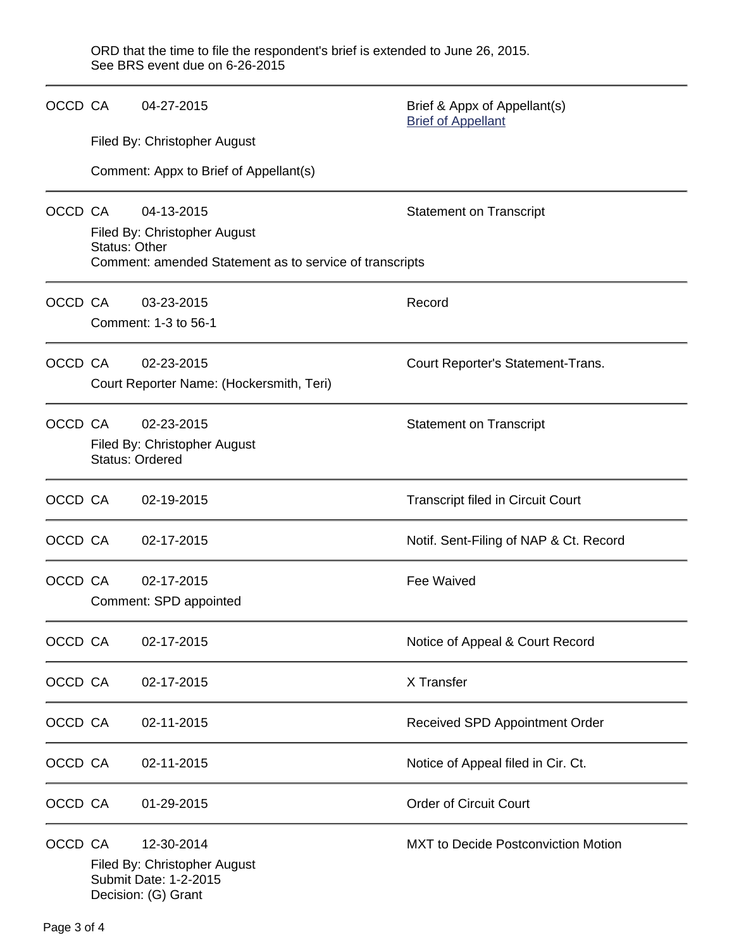ORD that the time to file the respondent's brief is extended to June 26, 2015. See BRS event due on 6-26-2015

|         | OCCD CA                                                              | 04-27-2015                                                                                 | Brief & Appx of Appellant(s)<br><b>Brief of Appellant</b> |  |  |  |
|---------|----------------------------------------------------------------------|--------------------------------------------------------------------------------------------|-----------------------------------------------------------|--|--|--|
|         |                                                                      | Filed By: Christopher August                                                               |                                                           |  |  |  |
|         |                                                                      | Comment: Appx to Brief of Appellant(s)                                                     |                                                           |  |  |  |
|         | OCCD CA                                                              | 04-13-2015<br>Filed By: Christopher August                                                 | <b>Statement on Transcript</b>                            |  |  |  |
|         |                                                                      | <b>Status: Other</b><br>Comment: amended Statement as to service of transcripts            |                                                           |  |  |  |
| OCCD CA |                                                                      | 03-23-2015<br>Comment: 1-3 to 56-1                                                         | Record                                                    |  |  |  |
| OCCD CA |                                                                      | 02-23-2015<br>Court Reporter Name: (Hockersmith, Teri)                                     | Court Reporter's Statement-Trans.                         |  |  |  |
| OCCD CA | 02-23-2015<br>Filed By: Christopher August<br><b>Status: Ordered</b> |                                                                                            | <b>Statement on Transcript</b>                            |  |  |  |
| OCCD CA |                                                                      | 02-19-2015                                                                                 | <b>Transcript filed in Circuit Court</b>                  |  |  |  |
| OCCD CA |                                                                      | 02-17-2015                                                                                 | Notif. Sent-Filing of NAP & Ct. Record                    |  |  |  |
| OCCD CA |                                                                      | 02-17-2015<br>Comment: SPD appointed                                                       | Fee Waived                                                |  |  |  |
| OCCD CA |                                                                      | 02-17-2015                                                                                 | Notice of Appeal & Court Record                           |  |  |  |
| OCCD CA |                                                                      | 02-17-2015                                                                                 | X Transfer                                                |  |  |  |
| OCCD CA |                                                                      | 02-11-2015                                                                                 | Received SPD Appointment Order                            |  |  |  |
| OCCD CA |                                                                      | 02-11-2015                                                                                 | Notice of Appeal filed in Cir. Ct.                        |  |  |  |
| OCCD CA |                                                                      | 01-29-2015                                                                                 | <b>Order of Circuit Court</b>                             |  |  |  |
| OCCD CA |                                                                      | 12-30-2014<br>Filed By: Christopher August<br>Submit Date: 1-2-2015<br>Decision: (G) Grant | <b>MXT</b> to Decide Postconviction Motion                |  |  |  |